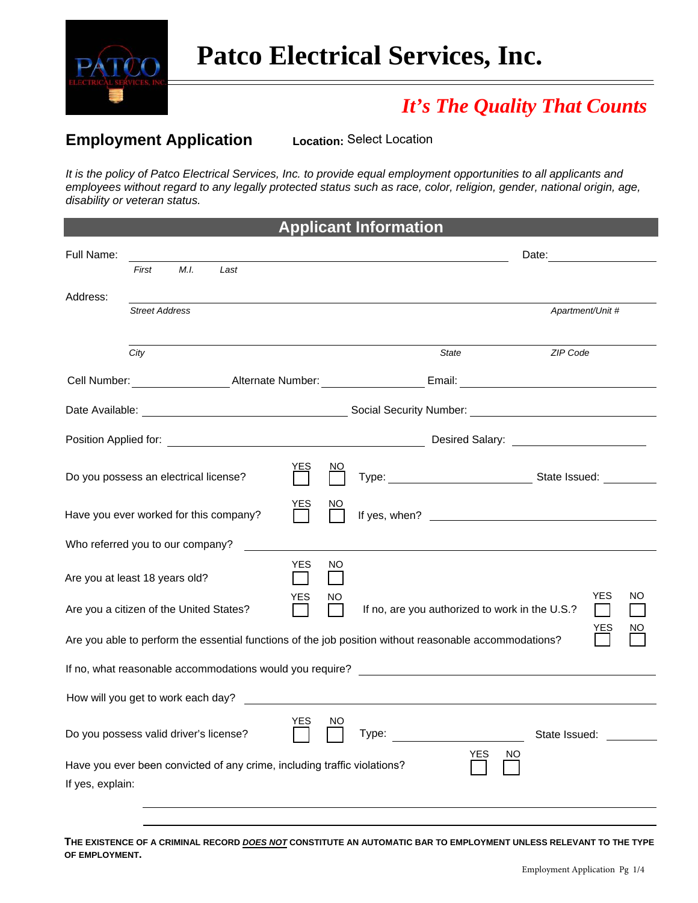

# *It's The Quality That Counts*

### **Employment Application**

**Location: Select Location** 

*It is the policy of Patco Electrical Services, Inc. to provide equal employment opportunities to all applicants and employees without regard to any legally protected status such as race, color, religion, gender, national origin, age, disability or veteran status.* 

| <b>Applicant Information</b>                                                                                               |                       |      |                                                                          |                            |                     |                                                |       |                  |               |  |
|----------------------------------------------------------------------------------------------------------------------------|-----------------------|------|--------------------------------------------------------------------------|----------------------------|---------------------|------------------------------------------------|-------|------------------|---------------|--|
| Full Name:                                                                                                                 |                       |      |                                                                          |                            |                     | Date:                                          |       |                  |               |  |
|                                                                                                                            | First                 | M.I. | Last                                                                     |                            |                     |                                                |       |                  |               |  |
| Address:                                                                                                                   | <b>Street Address</b> |      |                                                                          |                            |                     |                                                |       | Apartment/Unit # |               |  |
|                                                                                                                            | City                  |      |                                                                          |                            |                     |                                                | State |                  | ZIP Code      |  |
|                                                                                                                            |                       |      |                                                                          |                            |                     |                                                |       |                  |               |  |
|                                                                                                                            |                       |      |                                                                          |                            |                     |                                                |       |                  |               |  |
|                                                                                                                            |                       |      |                                                                          |                            |                     |                                                |       |                  |               |  |
| Do you possess an electrical license?                                                                                      |                       |      | <u>YES</u>                                                               | NO                         |                     |                                                |       |                  |               |  |
| Have you ever worked for this company?                                                                                     |                       |      |                                                                          | уеs<br>П                   | NΟ                  |                                                |       |                  |               |  |
| Who referred you to our company?                                                                                           |                       |      |                                                                          |                            |                     |                                                |       |                  |               |  |
| Are you at least 18 years old?                                                                                             |                       |      |                                                                          | <b>YES</b><br>$\mathbf{1}$ | NO.<br>$\mathbf{I}$ |                                                |       |                  |               |  |
| Are you a citizen of the United States?                                                                                    |                       |      | YES<br>$\Box$                                                            | NO                         |                     | If no, are you authorized to work in the U.S.? |       | <b>YES</b>       | ΝO            |  |
| NΟ<br><u>YES</u><br>Are you able to perform the essential functions of the job position without reasonable accommodations? |                       |      |                                                                          |                            |                     |                                                |       |                  |               |  |
|                                                                                                                            |                       |      |                                                                          |                            |                     |                                                |       |                  |               |  |
|                                                                                                                            |                       |      |                                                                          |                            |                     |                                                |       |                  |               |  |
| Do you possess valid driver's license?                                                                                     |                       |      |                                                                          | <b>YES</b>                 | NO.                 | $\Box$ Type: $\_\_$                            |       |                  | State Issued: |  |
| If yes, explain:                                                                                                           |                       |      | Have you ever been convicted of any crime, including traffic violations? |                            |                     |                                                | YES   | <sub>NO</sub>    |               |  |
|                                                                                                                            |                       |      |                                                                          |                            |                     |                                                |       |                  |               |  |

**THE EXISTENCE OF A CRIMINAL RECORD** *DOES NOT* **CONSTITUTE AN AUTOMATIC BAR TO EMPLOYMENT UNLESS RELEVANT TO THE TYPE OF EMPLOYMENT.**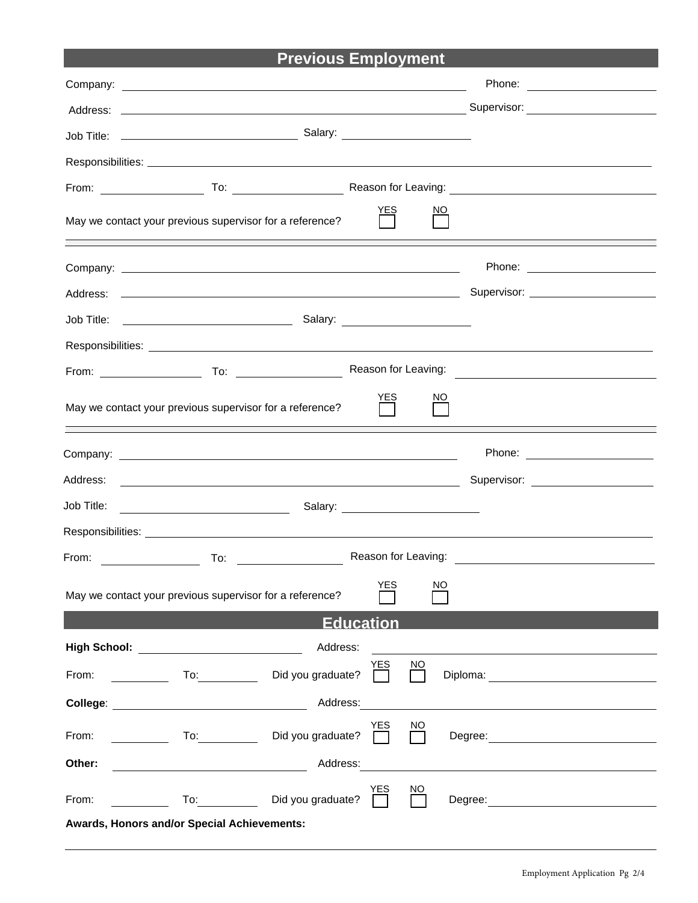# **Previous Employment**

| <u>YES</u><br>May we contact your previous supervisor for a reference?                                                                                                                                                         | <u>NO</u>                                                  |
|--------------------------------------------------------------------------------------------------------------------------------------------------------------------------------------------------------------------------------|------------------------------------------------------------|
|                                                                                                                                                                                                                                |                                                            |
|                                                                                                                                                                                                                                |                                                            |
|                                                                                                                                                                                                                                |                                                            |
| Responsibilities: Les and the set of the set of the set of the set of the set of the set of the set of the set of the set of the set of the set of the set of the set of the set of the set of the set of the set of the set o |                                                            |
|                                                                                                                                                                                                                                | <u> 1980 - Andrea State Barbara, politik e</u>             |
| YES<br>May we contact your previous supervisor for a reference?                                                                                                                                                                | NO.                                                        |
|                                                                                                                                                                                                                                |                                                            |
| Address:<br><u> 1989 - Johann Stoff, deutscher Stoffen und der Stoffen und der Stoffen und der Stoffen und der Stoffen und der</u>                                                                                             | Supervisor: Victor Andrew Management Communications        |
| Job Title:<br>Salary: _________________________<br><u> 1980 - Johann Barbara, martin a</u>                                                                                                                                     |                                                            |
|                                                                                                                                                                                                                                |                                                            |
| From:                                                                                                                                                                                                                          |                                                            |
| <b>YES</b><br>May we contact your previous supervisor for a reference?                                                                                                                                                         | NO                                                         |
| <b>Education</b>                                                                                                                                                                                                               |                                                            |
| High School: <u>__________________________</u><br>Address:                                                                                                                                                                     |                                                            |
| <b>YES</b><br>Did you graduate?<br>From:                                                                                                                                                                                       | NO.<br>Diploma: <u>__________________</u>                  |
| Address:                                                                                                                                                                                                                       | <u> 1989 - John Stein, Amerikaansk politiker (</u> † 1920) |
| YES<br>Did you graduate?<br>From:                                                                                                                                                                                              | $\underline{NO}$                                           |
| Other:<br>Address:                                                                                                                                                                                                             |                                                            |
| YES<br>To: Did you graduate?<br>From:                                                                                                                                                                                          | NO                                                         |
| Awards, Honors and/or Special Achievements:                                                                                                                                                                                    |                                                            |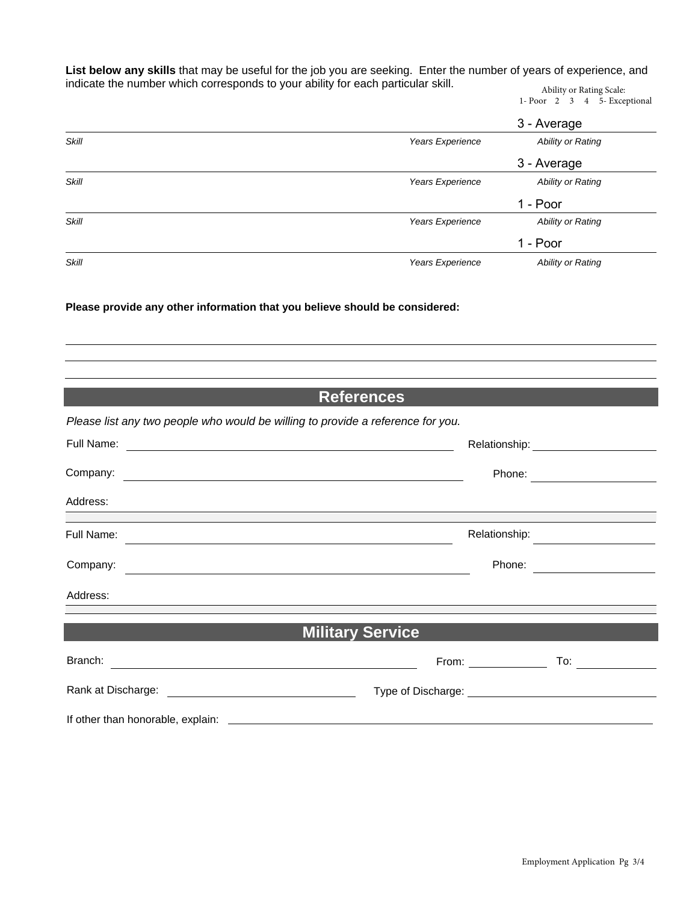**List below any skills** that may be useful for the job you are seeking. Enter the number of years of experience, and indicate the number which corresponds to your ability for each particular skill.

Ability or Rating Scale: 1- Poor 2 3 4 5- Exceptional

|              |                  | 3 - Average       |
|--------------|------------------|-------------------|
| Skill        | Years Experience | Ability or Rating |
|              |                  | 3 - Average       |
| Skill        | Years Experience | Ability or Rating |
|              |                  | 1 - Poor          |
| Skill        | Years Experience | Ability or Rating |
|              |                  | 1 - Poor          |
| <b>Skill</b> | Years Experience | Ability or Rating |

**Please provide any other information that you believe should be considered:** 

|                         |                                                                                                                                                                                                                                     | <b>References</b>                                         |                                                                                                                                                                                                                                |                     |  |
|-------------------------|-------------------------------------------------------------------------------------------------------------------------------------------------------------------------------------------------------------------------------------|-----------------------------------------------------------|--------------------------------------------------------------------------------------------------------------------------------------------------------------------------------------------------------------------------------|---------------------|--|
|                         | Please list any two people who would be willing to provide a reference for you.                                                                                                                                                     |                                                           |                                                                                                                                                                                                                                |                     |  |
| Full Name:              | <u> 1989 - Johann Barnett, fransk politik (d. 1989)</u>                                                                                                                                                                             |                                                           |                                                                                                                                                                                                                                |                     |  |
|                         | Company: <u>example and the company:</u> company: example and the company: example and the company of the company of the company of the company of the company of the company of the company of the company of the company of the c |                                                           | Phone:                                                                                                                                                                                                                         |                     |  |
| Address:                |                                                                                                                                                                                                                                     | <u> 1989 - John Stone, Amerikaansk politiker (* 1958)</u> |                                                                                                                                                                                                                                |                     |  |
|                         | ,我们也不会有什么。""我们的人,我们也不会有什么?""我们的人,我们也不会有什么?""我们的人,我们也不会有什么?""我们的人,我们也不会有什么?""我们的人                                                                                                                                                    |                                                           | Relationship:                                                                                                                                                                                                                  |                     |  |
| Company:                | <u> 1980 - Andrea Andrew Maria (h. 1980).</u>                                                                                                                                                                                       |                                                           | Phone:                                                                                                                                                                                                                         |                     |  |
| Address:                |                                                                                                                                                                                                                                     |                                                           |                                                                                                                                                                                                                                |                     |  |
| <b>Military Service</b> |                                                                                                                                                                                                                                     |                                                           |                                                                                                                                                                                                                                |                     |  |
| Branch:                 | <u> 1980 - Johann Barbara, martxa alemaniar argametria (h. 1980).</u>                                                                                                                                                               |                                                           | From: The contract of the contract of the contract of the contract of the contract of the contract of the contract of the contract of the contract of the contract of the contract of the contract of the contract of the cont | To: $\qquad \qquad$ |  |
|                         |                                                                                                                                                                                                                                     |                                                           | Type of Discharge: National Property of Discharge:                                                                                                                                                                             |                     |  |
|                         |                                                                                                                                                                                                                                     |                                                           |                                                                                                                                                                                                                                |                     |  |